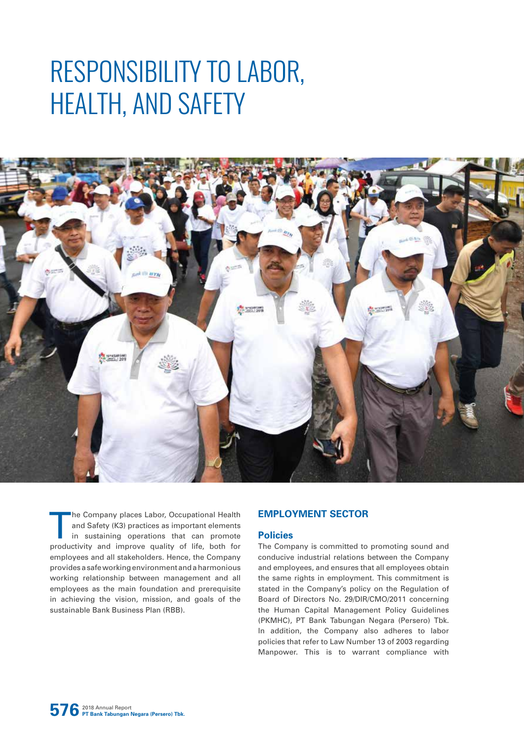# RESPONSIBILITY TO LABOR, HEALTH, AND SAFETY



The Company places Labor, Occupational Health<br>and Safety (K3) practices as important elements<br>in sustaining operations that can promote<br>productivity and improve quality of life both for and Safety (K3) practices as important elements in sustaining operations that can promote productivity and improve quality of life, both for employees and all stakeholders. Hence, the Company provides a safe working environment and a harmonious working relationship between management and all employees as the main foundation and prerequisite in achieving the vision, mission, and goals of the sustainable Bank Business Plan (RBB).

# **EMPLOYMENT SECTOR**

## **Policies**

The Company is committed to promoting sound and conducive industrial relations between the Company and employees, and ensures that all employees obtain the same rights in employment. This commitment is stated in the Company's policy on the Regulation of Board of Directors No. 29/DIR/CMO/2011 concerning the Human Capital Management Policy Guidelines (PKMHC), PT Bank Tabungan Negara (Persero) Tbk. In addition, the Company also adheres to labor policies that refer to Law Number 13 of 2003 regarding Manpower. This is to warrant compliance with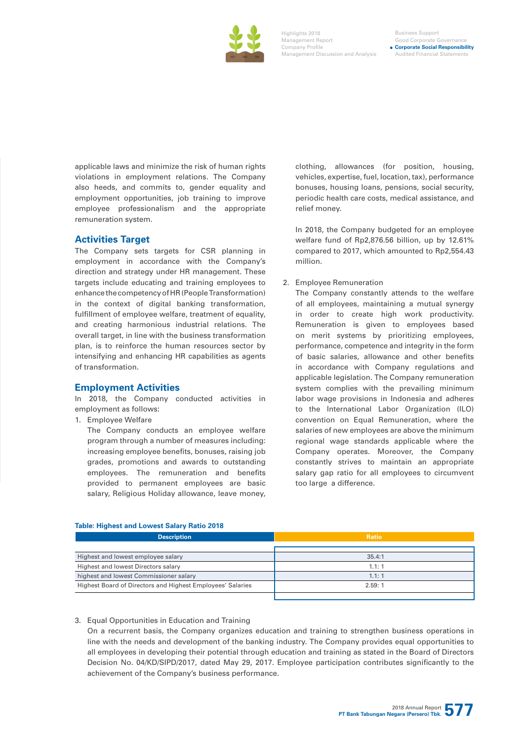

#### Business Support Good Corporate Governan **Corporate Social Responsibility** Audited Financial Statements

applicable laws and minimize the risk of human rights violations in employment relations. The Company also heeds, and commits to, gender equality and employment opportunities, job training to improve employee professionalism and the appropriate remuneration system.

# **Activities Target**

The Company sets targets for CSR planning in employment in accordance with the Company's direction and strategy under HR management. These targets include educating and training employees to enhance the competency of HR (People Transformation) in the context of digital banking transformation, fulfillment of employee welfare, treatment of equality, and creating harmonious industrial relations. The overall target, in line with the business transformation plan, is to reinforce the human resources sector by intensifying and enhancing HR capabilities as agents of transformation.

#### **Employment Activities**

In 2018, the Company conducted activities in employment as follows:

1. Employee Welfare

The Company conducts an employee welfare program through a number of measures including: increasing employee benefits, bonuses, raising job grades, promotions and awards to outstanding employees. The remuneration and benefits provided to permanent employees are basic salary, Religious Holiday allowance, leave money,

clothing, allowances (for position, housing, vehicles, expertise, fuel, location, tax), performance bonuses, housing loans, pensions, social security, periodic health care costs, medical assistance, and relief money.

In 2018, the Company budgeted for an employee welfare fund of Rp2,876.56 billion, up by 12.61% compared to 2017, which amounted to Rp2,554.43 million.

#### 2. Employee Remuneration

The Company constantly attends to the welfare of all employees, maintaining a mutual synergy in order to create high work productivity. Remuneration is given to employees based on merit systems by prioritizing employees, performance, competence and integrity in the form of basic salaries, allowance and other benefits in accordance with Company regulations and applicable legislation. The Company remuneration system complies with the prevailing minimum labor wage provisions in Indonesia and adheres to the International Labor Organization (ILO) convention on Equal Remuneration, where the salaries of new employees are above the minimum regional wage standards applicable where the Company operates. Moreover, the Company constantly strives to maintain an appropriate salary gap ratio for all employees to circumvent too large a difference.

#### **Table: Highest and Lowest Salary Ratio 2018**

| <b>Description</b>                                         | <b>Ratio</b> |  |  |
|------------------------------------------------------------|--------------|--|--|
|                                                            |              |  |  |
| Highest and lowest employee salary                         | 35.4:1       |  |  |
| Highest and lowest Directors salary                        | 1.1:1        |  |  |
| highest and lowest Commissioner salary                     | 1.1:1        |  |  |
| Highest Board of Directors and Highest Employees' Salaries | 2.59:1       |  |  |
|                                                            |              |  |  |

#### 3. Equal Opportunities in Education and Training

On a recurrent basis, the Company organizes education and training to strengthen business operations in line with the needs and development of the banking industry. The Company provides equal opportunities to all employees in developing their potential through education and training as stated in the Board of Directors Decision No. 04/KD/SIPD/2017, dated May 29, 2017. Employee participation contributes significantly to the achievement of the Company's business performance.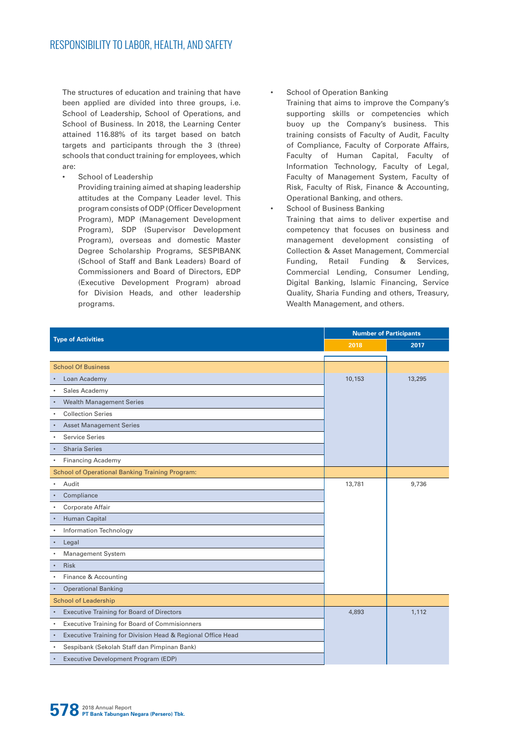The structures of education and training that have been applied are divided into three groups, i.e. School of Leadership, School of Operations, and School of Business. In 2018, the Learning Center attained 116.88% of its target based on batch targets and participants through the 3 (three) schools that conduct training for employees, which are:

School of Leadership

Providing training aimed at shaping leadership attitudes at the Company Leader level. This program consists of ODP (Officer Development Program), MDP (Management Development Program), SDP (Supervisor Development Program), overseas and domestic Master Degree Scholarship Programs, SESPIBANK (School of Staff and Bank Leaders) Board of Commissioners and Board of Directors, EDP (Executive Development Program) abroad for Division Heads, and other leadership programs.

School of Operation Banking

Training that aims to improve the Company's supporting skills or competencies which buoy up the Company's business. This training consists of Faculty of Audit, Faculty of Compliance, Faculty of Corporate Affairs, Faculty of Human Capital, Faculty of Information Technology, Faculty of Legal, Faculty of Management System, Faculty of Risk, Faculty of Risk, Finance & Accounting, Operational Banking, and others.

School of Business Banking Training that aims to deliver expertise and competency that focuses on business and management development consisting of Collection & Asset Management, Commercial Funding, Retail Funding & Services, Commercial Lending, Consumer Lending, Digital Banking, Islamic Financing, Service Quality, Sharia Funding and others, Treasury, Wealth Management, and others.

| <b>Type of Activities</b>                                                | <b>Number of Participants</b> |        |  |
|--------------------------------------------------------------------------|-------------------------------|--------|--|
|                                                                          | 2018                          | 2017   |  |
|                                                                          |                               |        |  |
| <b>School Of Business</b>                                                |                               |        |  |
| Loan Academy                                                             | 10,153                        | 13,295 |  |
| Sales Academy                                                            |                               |        |  |
| <b>Wealth Management Series</b>                                          |                               |        |  |
| <b>Collection Series</b>                                                 |                               |        |  |
| <b>Asset Management Series</b>                                           |                               |        |  |
| <b>Service Series</b>                                                    |                               |        |  |
| <b>Sharia Series</b><br>$\bullet$                                        |                               |        |  |
| <b>Financing Academy</b><br>$\bullet$                                    |                               |        |  |
| <b>School of Operational Banking Training Program:</b>                   |                               |        |  |
| Audit                                                                    | 13,781                        | 9,736  |  |
| Compliance                                                               |                               |        |  |
| Corporate Affair                                                         |                               |        |  |
| <b>Human Capital</b>                                                     |                               |        |  |
| Information Technology                                                   |                               |        |  |
| Legal                                                                    |                               |        |  |
| <b>Management System</b>                                                 |                               |        |  |
| <b>Risk</b><br>$\bullet$                                                 |                               |        |  |
| Finance & Accounting                                                     |                               |        |  |
| <b>Operational Banking</b>                                               |                               |        |  |
| <b>School of Leadership</b>                                              |                               |        |  |
| <b>Executive Training for Board of Directors</b>                         | 4,893                         | 1,112  |  |
| Executive Training for Board of Commisionners                            |                               |        |  |
| Executive Training for Division Head & Regional Office Head<br>$\bullet$ |                               |        |  |
| Sespibank (Sekolah Staff dan Pimpinan Bank)                              |                               |        |  |
| Executive Development Program (EDP)                                      |                               |        |  |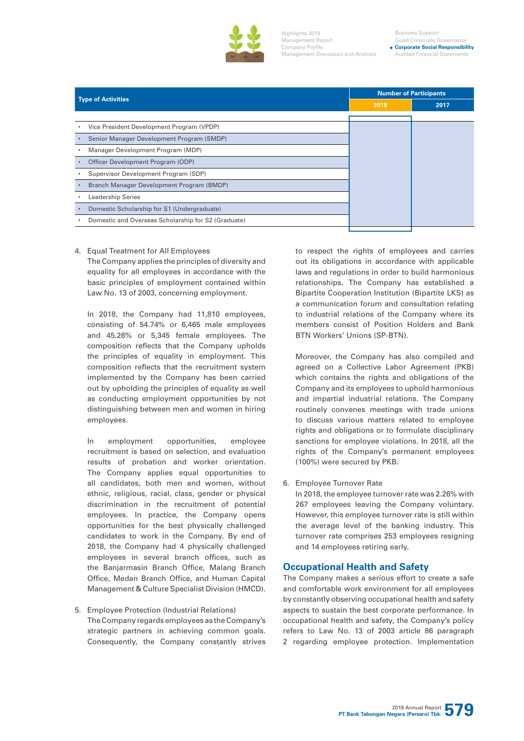

**Corporate Social Responsibility** Audited Financial Statements

|                                                          | <b>Number of Participants</b> |      |
|----------------------------------------------------------|-------------------------------|------|
| <b>Type of Activities</b>                                | 2018                          | 2017 |
|                                                          |                               |      |
| Vice President Development Program (VPDP)                |                               |      |
| Senior Manager Development Program (SMDP)<br>$\bullet$   |                               |      |
| Manager Development Program (MDP)                        |                               |      |
| Officer Development Program (ODP)<br>$\bullet$           |                               |      |
| Supervisor Development Program (SDP)                     |                               |      |
| Branch Manager Development Program (BMDP)<br>$\bullet$   |                               |      |
| <b>Leadership Series</b>                                 |                               |      |
| Domestic Scholarship for S1 (Undergraduate)<br>$\bullet$ |                               |      |
| Domestic and Overseas Scholarship for S2 (Graduate)      |                               |      |
|                                                          |                               |      |

4. Equal Treatment for All Employees The Company applies the principles of diversity and equality for all employees in accordance with the basic principles of employment contained within Law No. 13 of 2003, concerning employment.

In 2018, the Company had 11,810 employees, consisting of 54.74% or 6,465 male employees and 45.26% or 5,345 female employees. The composition reflects that the Company upholds the principles of equality in employment. This composition reflects that the recruitment system implemented by the Company has been carried out by upholding the principles of equality as well as conducting employment opportunities by not distinguishing between men and women in hiring employees.

In employment opportunities, employee recruitment is based on selection, and evaluation results of probation and worker orientation. The Company applies equal opportunities to all candidates, both men and women, without ethnic, religious, racial, class, gender or physical discrimination in the recruitment of potential employees. In practice, the Company opens opportunities for the best physically challenged candidates to work in the Company. By end of 2018, the Company had 4 physically challenged employees in several branch offices, such as the Banjarmasin Branch Office, Malang Branch Office, Medan Branch Office, and Human Capital Management & Culture Specialist Division (HMCD).

5. Employee Protection (Industrial Relations) The Company regards employees as the Company's strategic partners in achieving common goals. Consequently, the Company constantly strives to respect the rights of employees and carries out its obligations in accordance with applicable laws and regulations in order to build harmonious relationships. The Company has established a Bipartite Cooperation Institution (Bipartite LKS) as a communication forum and consultation relating to industrial relations of the Company where its members consist of Position Holders and Bank BTN Workers' Unions (SP-BTN).

Moreover, the Company has also compiled and agreed on a Collective Labor Agreement (PKB) which contains the rights and obligations of the Company and its employees to uphold harmonious and impartial industrial relations. The Company routinely convenes meetings with trade unions to discuss various matters related to employee rights and obligations or to formulate disciplinary sanctions for employee violations. In 2018, all the rights of the Company's permanent employees (100%) were secured by PKB.

6. Employee Turnover Rate

In 2018, the employee turnover rate was 2.26% with 267 employees leaving the Company voluntary. However, this employee turnover rate is still within the average level of the banking industry. This turnover rate comprises 253 employees resigning and 14 employees retiring early.

# **Occupational Health and Safety**

The Company makes a serious effort to create a safe and comfortable work environment for all employees by constantly observing occupational health and safety aspects to sustain the best corporate performance. In occupational health and safety, the Company's policy refers to Law No. 13 of 2003 article 86 paragraph 2 regarding employee protection. Implementation

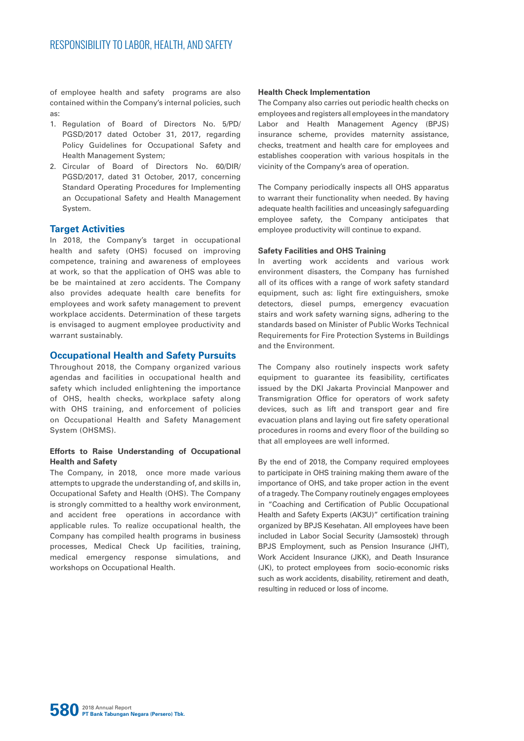of employee health and safety programs are also contained within the Company's internal policies, such as:

- 1. Regulation of Board of Directors No. 5/PD/ PGSD/2017 dated October 31, 2017, regarding Policy Guidelines for Occupational Safety and Health Management System;
- 2. Circular of Board of Directors No. 60/DIR/ PGSD/2017, dated 31 October, 2017, concerning Standard Operating Procedures for Implementing an Occupational Safety and Health Management System.

#### **Target Activities**

In 2018, the Company's target in occupational health and safety (OHS) focused on improving competence, training and awareness of employees at work, so that the application of OHS was able to be be maintained at zero accidents. The Company also provides adequate health care benefits for employees and work safety management to prevent workplace accidents. Determination of these targets is envisaged to augment employee productivity and warrant sustainably.

#### **Occupational Health and Safety Pursuits**

Throughout 2018, the Company organized various agendas and facilities in occupational health and safety which included enlightening the importance of OHS, health checks, workplace safety along with OHS training, and enforcement of policies on Occupational Health and Safety Management System (OHSMS).

#### **Efforts to Raise Understanding of Occupational Health and Safety**

The Company, in 2018, once more made various attempts to upgrade the understanding of, and skills in, Occupational Safety and Health (OHS). The Company is strongly committed to a healthy work environment, and accident free operations in accordance with applicable rules. To realize occupational health, the Company has compiled health programs in business processes, Medical Check Up facilities, training, medical emergency response simulations, and workshops on Occupational Health.

#### **Health Check Implementation**

The Company also carries out periodic health checks on employees and registers all employees in the mandatory Labor and Health Management Agency (BPJS) insurance scheme, provides maternity assistance, checks, treatment and health care for employees and establishes cooperation with various hospitals in the vicinity of the Company's area of operation.

The Company periodically inspects all OHS apparatus to warrant their functionality when needed. By having adequate health facilities and unceasingly safeguarding employee safety, the Company anticipates that employee productivity will continue to expand.

#### **Safety Facilities and OHS Training**

In averting work accidents and various work environment disasters, the Company has furnished all of its offices with a range of work safety standard equipment, such as: light fire extinguishers, smoke detectors, diesel pumps, emergency evacuation stairs and work safety warning signs, adhering to the standards based on Minister of Public Works Technical Requirements for Fire Protection Systems in Buildings and the Environment.

The Company also routinely inspects work safety equipment to guarantee its feasibility, certificates issued by the DKI Jakarta Provincial Manpower and Transmigration Office for operators of work safety devices, such as lift and transport gear and fire evacuation plans and laying out fire safety operational procedures in rooms and every floor of the building so that all employees are well informed.

By the end of 2018, the Company required employees to participate in OHS training making them aware of the importance of OHS, and take proper action in the event of a tragedy. The Company routinely engages employees in "Coaching and Certification of Public Occupational Health and Safety Experts (AK3U)" certification training organized by BPJS Kesehatan. All employees have been included in Labor Social Security (Jamsostek) through BPJS Employment, such as Pension Insurance (JHT), Work Accident Insurance (JKK), and Death Insurance (JK), to protect employees from socio-economic risks such as work accidents, disability, retirement and death, resulting in reduced or loss of income.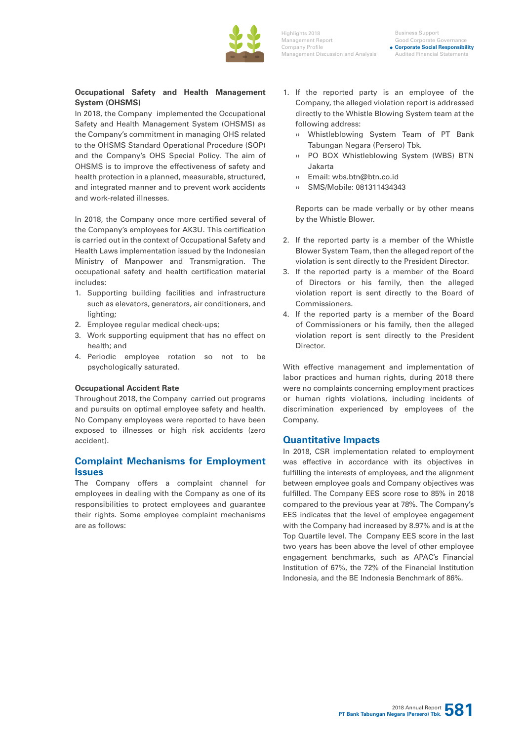

Business Support Good Corporate Governan **Corporate Social Responsibility** Audited Financial Statements

### **Occupational Safety and Health Management System (OHSMS)**

In 2018, the Company implemented the Occupational Safety and Health Management System (OHSMS) as the Company's commitment in managing OHS related to the OHSMS Standard Operational Procedure (SOP) and the Company's OHS Special Policy. The aim of OHSMS is to improve the effectiveness of safety and health protection in a planned, measurable, structured, and integrated manner and to prevent work accidents and work-related illnesses.

In 2018, the Company once more certified several of the Company's employees for AK3U. This certification is carried out in the context of Occupational Safety and Health Laws implementation issued by the Indonesian Ministry of Manpower and Transmigration. The occupational safety and health certification material includes:

- 1. Supporting building facilities and infrastructure such as elevators, generators, air conditioners, and lighting:
- 2. Employee regular medical check-ups;
- 3. Work supporting equipment that has no effect on health; and
- 4. Periodic employee rotation so not to be psychologically saturated.

#### **Occupational Accident Rate**

Throughout 2018, the Company carried out programs and pursuits on optimal employee safety and health. No Company employees were reported to have been exposed to illnesses or high risk accidents (zero accident).

# **Complaint Mechanisms for Employment Issues**

The Company offers a complaint channel for employees in dealing with the Company as one of its responsibilities to protect employees and guarantee their rights. Some employee complaint mechanisms are as follows:

- 1. If the reported party is an employee of the Company, the alleged violation report is addressed directly to the Whistle Blowing System team at the following address:
	- ›› Whistleblowing System Team of PT Bank Tabungan Negara (Persero) Tbk.
	- ›› PO BOX Whistleblowing System (WBS) BTN Jakarta
	- ›› Email: wbs.btn@btn.co.id
	- ›› SMS/Mobile: 081311434343

Reports can be made verbally or by other means by the Whistle Blower.

- 2. If the reported party is a member of the Whistle Blower System Team, then the alleged report of the violation is sent directly to the President Director.
- 3. If the reported party is a member of the Board of Directors or his family, then the alleged violation report is sent directly to the Board of Commissioners.
- 4. If the reported party is a member of the Board of Commissioners or his family, then the alleged violation report is sent directly to the President **Director**

With effective management and implementation of labor practices and human rights, during 2018 there were no complaints concerning employment practices or human rights violations, including incidents of discrimination experienced by employees of the Company.

# **Quantitative Impacts**

In 2018, CSR implementation related to employment was effective in accordance with its objectives in fulfilling the interests of employees, and the alignment between employee goals and Company objectives was fulfilled. The Company EES score rose to 85% in 2018 compared to the previous year at 78%. The Company's EES indicates that the level of employee engagement with the Company had increased by 8.97% and is at the Top Quartile level. The Company EES score in the last two years has been above the level of other employee engagement benchmarks, such as APAC's Financial Institution of 67%, the 72% of the Financial Institution Indonesia, and the BE Indonesia Benchmark of 86%.